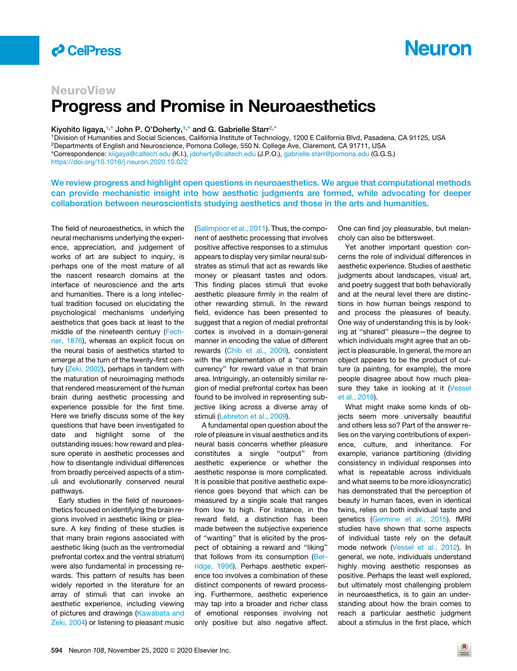

# **Neuron**

## **NeuroView** Progress and Promise in Neuroaesthetics

### Kiyohito ligaya,<sup>[1,](#page-0-0)\*</sup> John P. O'Doherty,<sup>1,\*</sup> and G. Gabrielle Starr<sup>[2,](#page-0-1)[\\*](#page-0-2)</sup>

<span id="page-0-2"></span><span id="page-0-1"></span><span id="page-0-0"></span>1Division of Humanities and Social Sciences, California Institute of Technology, 1200 E California Blvd, Pasadena, CA 91125, USA 2Departments of English and Neuroscience, Pomona College, 550 N. College Ave, Claremont, CA 91711, USA \*Correspondence: [kiigaya@caltech.edu](mailto:kiigaya@caltech.edu) (K.I.), [jdoherty@caltech.edu](mailto:jdoherty@caltech.edu) (J.P.O.), [gabrielle.starr@pomona.edu](mailto:gabrielle.starr@pomona.edu) (G.G.S.) <https://doi.org/10.1016/j.neuron.2020.10.022>

We review progress and highlight open questions in neuroaesthetics. We argue that computational methods can provide mechanistic insight into how aesthetic judgments are formed, while advocating for deeper collaboration between neuroscientists studying aesthetics and those in the arts and humanities.

The field of neuroaesthetics, in which the neural mechanisms underlying the experience, appreciation, and judgement of works of art are subject to inquiry, is perhaps one of the most mature of all the nascent research domains at the interface of neuroscience and the arts and humanities. There is a long intellectual tradition focused on elucidating the psychological mechanisms underlying aesthetics that goes back at least to the middle of the nineteenth century [\(Fech](#page-2-0)[ner, 1876](#page-2-0)), whereas an explicit focus on the neural basis of aesthetics started to emerge at the turn of the twenty-first century ([Zeki, 2002\)](#page-2-1), perhaps in tandem with the maturation of neuroimaging methods that rendered measurement of the human brain during aesthetic processing and experience possible for the first time. Here we briefly discuss some of the key questions that have been investigated to date and highlight some of the outstanding issues: how reward and pleasure operate in aesthetic processes and how to disentangle individual differences from broadly perceived aspects of a stimuli and evolutionarily conserved neural pathways.

Early studies in the field of neuroaesthetics focused on identifying the brain regions involved in aesthetic liking or pleasure. A key finding of these studies is that many brain regions associated with aesthetic liking (such as the ventromedial prefrontal cortex and the ventral striatum) were also fundamental in processing rewards. This pattern of results has been widely reported in the literature for an array of stimuli that can invoke an aesthetic experience, including viewing of pictures and drawings ([Kawabata and](#page-2-2) [Zeki, 2004](#page-2-2)) or listening to pleasant music

[\(Salimpoor et al., 2011](#page-2-3)). Thus, the component of aesthetic processing that involves positive affective responses to a stimulus appears to display very similar neural substrates as stimuli that act as rewards like money or pleasant tastes and odors. This finding places stimuli that evoke aesthetic pleasure firmly in the realm of other rewarding stimuli. In the reward field, evidence has been presented to suggest that a region of medial prefrontal cortex is involved in a domain-general manner in encoding the value of different rewards ([Chib et al., 2009](#page-2-4)), consistent with the implementation of a ''common currency'' for reward value in that brain area. Intriguingly, an ostensibly similar region of medial prefrontal cortex has been found to be involved in representing subjective liking across a diverse array of stimuli [\(Lebreton et al., 2009](#page-2-5)).

A fundamental open question about the role of pleasure in visual aesthetics and its neural basis concerns whether pleasure constitutes a single ''output'' from aesthetic experience or whether the aesthetic response is more complicated. It is possible that positive aesthetic experience goes beyond that which can be measured by a single scale that ranges from low to high. For instance, in the reward field, a distinction has been made between the subjective experience of ''wanting'' that is elicited by the prospect of obtaining a reward and ''liking'' that follows from its consumption [\(Ber](#page-2-6)[ridge, 1996\)](#page-2-6). Perhaps aesthetic experience too involves a combination of these distinct components of reward processing. Furthermore, aesthetic experience may tap into a broader and richer class of emotional responses involving not only positive but also negative affect.

One can find joy pleasurable, but melancholy can also be bittersweet.

Yet another important question concerns the role of individual differences in aesthetic experience. Studies of aesthetic judgments about landscapes, visual art, and poetry suggest that both behaviorally and at the neural level there are distinctions in how human beings respond to and process the pleasures of beauty. One way of understanding this is by looking at ''shared'' pleasure—the degree to which individuals might agree that an object is pleasurable. In general, the more an object appears to be the product of culture (a painting, for example), the more people disagree about how much plea-sure they take in looking at it [\(Vessel](#page-2-7) [et al., 2018](#page-2-7)).

What might make some kinds of objects seem more universally beautiful and others less so? Part of the answer relies on the varying contributions of experience, culture, and inheritance. For example, variance partitioning (dividing consistency in individual responses into what is repeatable across individuals and what seems to be more idiosyncratic) has demonstrated that the perception of beauty in human faces, even in identical twins, relies on both individual taste and genetics ([Germine et al., 2015\)](#page-2-8). fMRI studies have shown that some aspects of individual taste rely on the default mode network [\(Vessel et al., 2012\)](#page-2-9). In general, we note, individuals understand highly moving aesthetic responses as positive. Perhaps the least well explored, but ultimately most challenging problem in neuroaesthetics, is to gain an understanding about how the brain comes to reach a particular aesthetic judgment about a stimulus in the first place, which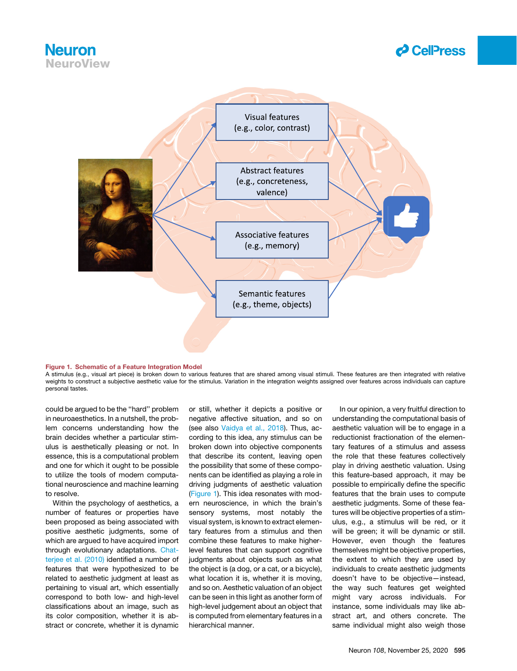### **Neuron** NeuroView



<span id="page-1-0"></span>

### Figure 1. Schematic of a Feature Integration Model

A stimulus (e.g., visual art piece) is broken down to various features that are shared among visual stimuli. These features are then integrated with relative weights to construct a subjective aesthetic value for the stimulus. Variation in the integration weights assigned over features across individuals can capture personal tastes.

could be argued to be the ''hard'' problem in neuroaesthetics. In a nutshell, the problem concerns understanding how the brain decides whether a particular stimulus is aesthetically pleasing or not. In essence, this is a computational problem and one for which it ought to be possible to utilize the tools of modern computational neuroscience and machine learning to resolve.

Within the psychology of aesthetics, a number of features or properties have been proposed as being associated with positive aesthetic judgments, some of which are argued to have acquired import through evolutionary adaptations. [Chat](#page-2-10)[terjee et al. \(2010\)](#page-2-10) identified a number of features that were hypothesized to be related to aesthetic judgment at least as pertaining to visual art, which essentially correspond to both low- and high-level classifications about an image, such as its color composition, whether it is abstract or concrete, whether it is dynamic

or still, whether it depicts a positive or negative affective situation, and so on (see also [Vaidya et al., 2018](#page-2-11)). Thus, according to this idea, any stimulus can be broken down into objective components that describe its content, leaving open the possibility that some of these components can be identified as playing a role in driving judgments of aesthetic valuation ([Figure 1\)](#page-1-0). This idea resonates with modern neuroscience, in which the brain's sensory systems, most notably the visual system, is known to extract elementary features from a stimulus and then combine these features to make higherlevel features that can support cognitive judgments about objects such as what the object is (a dog, or a cat, or a bicycle), what location it is, whether it is moving, and so on. Aesthetic valuation of an object can be seen in this light as another form of high-level judgement about an object that is computed from elementary features in a hierarchical manner.

In our opinion, a very fruitful direction to understanding the computational basis of aesthetic valuation will be to engage in a reductionist fractionation of the elementary features of a stimulus and assess the role that these features collectively play in driving aesthetic valuation. Using this feature-based approach, it may be possible to empirically define the specific features that the brain uses to compute aesthetic judgments. Some of these features will be objective properties of a stimulus, e.g., a stimulus will be red, or it will be green; it will be dynamic or still. However, even though the features themselves might be objective properties, the extent to which they are used by individuals to create aesthetic judgments doesn't have to be objective—instead, the way such features get weighted might vary across individuals. For instance, some individuals may like abstract art, and others concrete. The same individual might also weigh those